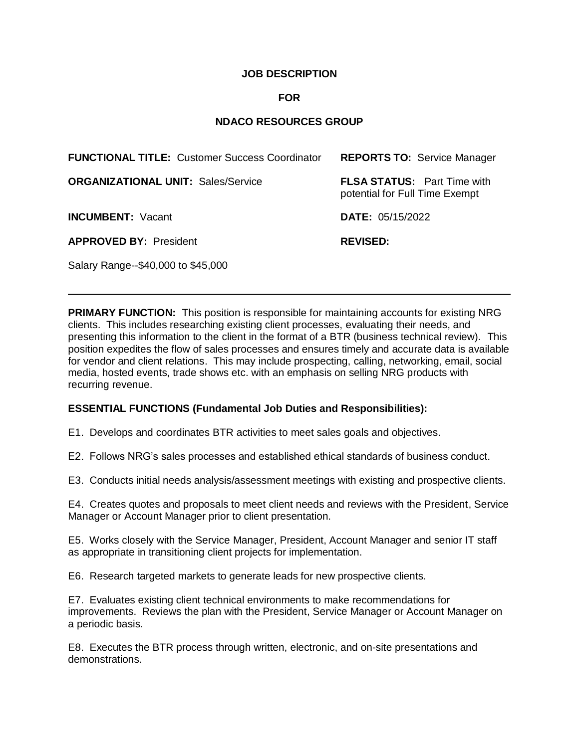# **JOB DESCRIPTION**

## **FOR**

# **NDACO RESOURCES GROUP**

| <b>FUNCTIONAL TITLE: Customer Success Coordinator</b> | <b>REPORTS TO: Service Manager</b>                                   |
|-------------------------------------------------------|----------------------------------------------------------------------|
| <b>ORGANIZATIONAL UNIT: Sales/Service</b>             | <b>FLSA STATUS:</b> Part Time with<br>potential for Full Time Exempt |
| <b>INCUMBENT: Vacant</b>                              | <b>DATE: 05/15/2022</b>                                              |
| <b>APPROVED BY: President</b>                         | <b>REVISED:</b>                                                      |
| Salary Range--\$40,000 to \$45,000                    |                                                                      |

**PRIMARY FUNCTION:** This position is responsible for maintaining accounts for existing NRG clients. This includes researching existing client processes, evaluating their needs, and presenting this information to the client in the format of a BTR (business technical review). This position expedites the flow of sales processes and ensures timely and accurate data is available for vendor and client relations. This may include prospecting, calling, networking, email, social media, hosted events, trade shows etc. with an emphasis on selling NRG products with recurring revenue.

### **ESSENTIAL FUNCTIONS (Fundamental Job Duties and Responsibilities):**

E1. Develops and coordinates BTR activities to meet sales goals and objectives.

E2. Follows NRG's sales processes and established ethical standards of business conduct.

E3. Conducts initial needs analysis/assessment meetings with existing and prospective clients.

E4. Creates quotes and proposals to meet client needs and reviews with the President, Service Manager or Account Manager prior to client presentation.

E5. Works closely with the Service Manager, President, Account Manager and senior IT staff as appropriate in transitioning client projects for implementation.

E6. Research targeted markets to generate leads for new prospective clients.

E7. Evaluates existing client technical environments to make recommendations for improvements. Reviews the plan with the President, Service Manager or Account Manager on a periodic basis.

E8. Executes the BTR process through written, electronic, and on-site presentations and demonstrations.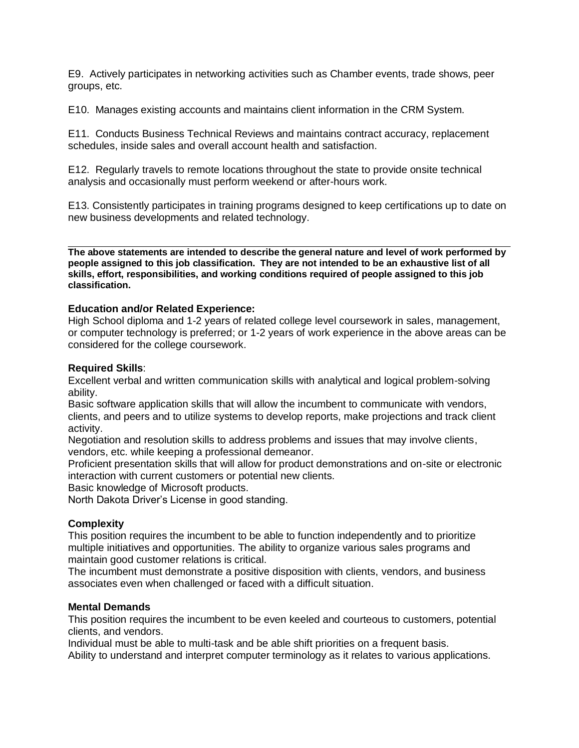E9. Actively participates in networking activities such as Chamber events, trade shows, peer groups, etc.

E10. Manages existing accounts and maintains client information in the CRM System.

E11. Conducts Business Technical Reviews and maintains contract accuracy, replacement schedules, inside sales and overall account health and satisfaction.

E12. Regularly travels to remote locations throughout the state to provide onsite technical analysis and occasionally must perform weekend or after-hours work.

E13. Consistently participates in training programs designed to keep certifications up to date on new business developments and related technology.

**The above statements are intended to describe the general nature and level of work performed by people assigned to this job classification. They are not intended to be an exhaustive list of all skills, effort, responsibilities, and working conditions required of people assigned to this job classification.**

### **Education and/or Related Experience:**

High School diploma and 1-2 years of related college level coursework in sales, management, or computer technology is preferred; or 1-2 years of work experience in the above areas can be considered for the college coursework.

### **Required Skills**:

Excellent verbal and written communication skills with analytical and logical problem-solving ability.

Basic software application skills that will allow the incumbent to communicate with vendors, clients, and peers and to utilize systems to develop reports, make projections and track client activity.

Negotiation and resolution skills to address problems and issues that may involve clients, vendors, etc. while keeping a professional demeanor.

Proficient presentation skills that will allow for product demonstrations and on-site or electronic interaction with current customers or potential new clients.

Basic knowledge of Microsoft products.

North Dakota Driver's License in good standing.

# **Complexity**

This position requires the incumbent to be able to function independently and to prioritize multiple initiatives and opportunities. The ability to organize various sales programs and maintain good customer relations is critical.

The incumbent must demonstrate a positive disposition with clients, vendors, and business associates even when challenged or faced with a difficult situation.

### **Mental Demands**

This position requires the incumbent to be even keeled and courteous to customers, potential clients, and vendors.

Individual must be able to multi-task and be able shift priorities on a frequent basis.

Ability to understand and interpret computer terminology as it relates to various applications.